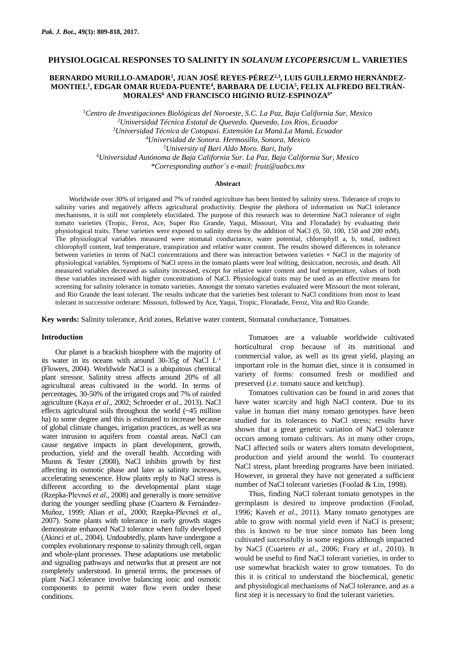# **PHYSIOLOGICAL RESPONSES TO SALINITY IN** *SOLANUM LYCOPERSICUM* **L. VARIETIES**

## **BERNARDO MURILLO-AMADOR<sup>1</sup> , JUAN JOSÉ REYES-PÉREZ2,3, LUIS GUILLERMO HERNÁNDEZ-MONTIEL<sup>1</sup> , EDGAR OMAR RUEDA-PUENTE<sup>4</sup> , BARBARA DE LUCIA<sup>5</sup> , FELIX ALFREDO BELTRÁN-MORALES<sup>6</sup> AND FRANCISCO HIGINIO RUIZ-ESPINOZA6\***

*Centro de Investigaciones Biológicas del Noroeste, S.C. La Paz, Baja California Sur, Mexico Universidad Técnica Estatal de Quevedo. Quevedo, Los Ríos, Ecuador Universidad Técnica de Cotopaxi. Extensión La Maná.La Maná, Ecuador Universidad de Sonora. Hermosillo, Sonora, Mexico University of Bari Aldo Moro. Bari, Italy Universidad Autónoma de Baja California Sur. La Paz, Baja California Sur, Mexico \*Corresponding author´s e-mail: [fruiz@uabcs.mx](mailto:fruiz@uabcs.mx)*

### **Abstract**

Worldwide over 30% of irrigated and 7% of rainfed agriculture has been limited by salinity stress. Tolerance of crops to salinity varies and negatively affects agricultural productivity. Despite the plethora of information on NaCl tolerance mechanisms, it is still not completely elucidated. The purpose of this research was to determine NaCl tolerance of eight tomato varieties (Tropic, Feroz, Ace, Super Rio Grande, Yaqui, Missouri, Vita and Floradade) by evaluating their physiological traits. These varieties were exposed to salinity stress by the addition of NaCl (0, 50, 100, 150 and 200 mM). The physiological variables measured were stomatal conductance, water potential, chlorophyll a, b, total, indirect chlorophyll content, leaf temperature, transpiration and relative water content. The results showed differences in tolerance between varieties in terms of NaCl concentrations and there was interaction between varieties × NaCl in the majority of physiological variables. Symptoms of NaCl stress in the tomato plants were leaf wilting, desiccation, necrosis, and death. All measured variables decreased as salinity increased, except for relative water content and leaf temperature, values of both these variables increased with higher concentrations of NaCl. Physiological traits may be used as an effective means for screening for salinity tolerance in tomato varieties. Amongst the tomato varieties evaluated were Missouri the most tolerant, and Rio Grande the least tolerant. The results indicate that the varieties best tolerant to NaCl conditions from most to least tolerant in successive orderare: Missouri, followed by Ace, Yaqui, Tropic, Floradade, Feroz, Vita and Rio Grande.

**Key words:** Salinity tolerance, Arid zones, Relative water content, Stomatal conductance, Tomatoes.

### **Introduction**

Our planet is a brackish biosphere with the majority of its water in its oceans with around 30-35g of NaCl  $L<sup>-1</sup>$ (Flowers, 2004). Worldwide NaCl is a ubiquitous chemical plant stressor. Salinity stress affects around 20% of all agricultural areas cultivated in the world. In terms of percentages, 30-50% of the irrigated crops and 7% of rainfed agriculture (Kaya *et al*., 2002; Schroeder *et al*., 2013). NaCl effects agricultural soils throughout the world (~45 million ha) to some degree and this is estimated to increase because of global climate changes, irrigation practices, as well as sea water intrusion to aquifers from coastal areas. NaCl can cause negative impacts in plant development, growth, production, yield and the overall health. According with Munns & Tester (2008), NaCl inhibits growth by first affecting its osmotic phase and later as salinity increases, accelerating senescence. How plants reply to NaCl stress is different according to the developmental plant stage (Rzepka-Plevneš *et al*., 2008) and generally is more sensitive during the younger seedling phase (Cuartero & Fernández-Muñoz, 1999; Alian *et al*., 2000; Rzepka-Plevneš *et al*., 2007). Some plants with tolerance in early growth stages demonstrate enhanced NaCl tolerance when fully developed (Akinci *et al*., 2004). Undoubtedly, plants have undergone a complex evolutionary response to salinity through cell, organ and whole-plant processes. These adaptations use metabolic and signaling pathways and networks that at present are not completely understood. In general terms, the processes of plant NaCl tolerance involve balancing ionic and osmotic components to permit water flow even under these conditions.

Tomatoes are a valuable worldwide cultivated horticultural crop because of its nutritional and commercial value, as well as its great yield, playing an important role in the human diet, since it is consumed in variety of forms: consumed fresh or modified and preserved (*i.e*. tomato sauce and ketchup).

Tomatoes cultivation can be found in arid zones that have water scarcity and high NaCl content. Due to its value in human diet many tomato genotypes have been studied for its tolerances to NaCl stress; results have shown that a great genetic variation of NaCl tolerance occurs among tomato cultivars. As in many other crops, NaCl affected soils or waters alters tomato development, production and yield around the world. To counteract NaCl stress, plant breeding programs have been initiated. However, in general they have not generated a sufficient number of NaCl tolerant varieties (Foolad & Lin, 1998).

Thus, finding NaCl tolerant tomato genotypes in the germplasm is desired to improve production (Foolad, 1996; Kaveh *et al*., 2011). Many tomato genotypes are able to grow with normal yield even if NaCl is present; this is known to be true since tomato has been long cultivated successfully in some regions although impacted by NaCl (Cuartero *et al*., 2006; Frary *et al*., 2010). It would be useful to find NaCl tolerant varieties, in order to use somewhat brackish water to grow tomatoes. To do this it is critical to understand the biochemical, genetic and physiological mechanisms of NaCl tolerance, and as a first step it is necessary to find the tolerant varieties.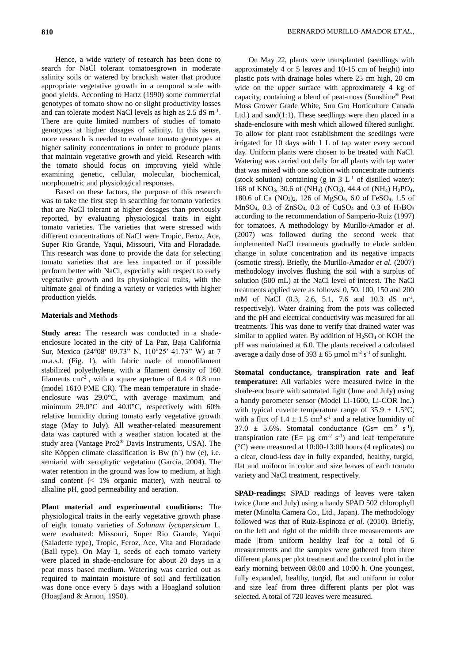Hence, a wide variety of research has been done to search for NaCl tolerant tomatoesgrown in moderate salinity soils or watered by brackish water that produce appropriate vegetative growth in a temporal scale with good yields. According to Hartz (1990) some commercial genotypes of tomato show no or slight productivity losses and can tolerate modest NaCl levels as high as 2.5 dS m<sup>-1</sup>. There are quite limited numbers of studies of tomato genotypes at higher dosages of salinity. In this sense, more research is needed to evaluate tomato genotypes at higher salinity concentrations in order to produce plants that maintain vegetative growth and yield. Research with the tomato should focus on improving yield while examining genetic, cellular, molecular, biochemical, morphometric and physiological responses.

Based on these factors, the purpose of this research was to take the first step in searching for tomato varieties that are NaCl tolerant at higher dosages than previously reported, by evaluating physiological traits in eight tomato varieties. The varieties that were stressed with different concentrations of NaCl were Tropic, Feroz, Ace, Super Rio Grande, Yaqui, Missouri, Vita and Floradade. This research was done to provide the data for selecting tomato varieties that are less impacted or if possible perform better with NaCl, especially with respect to early vegetative growth and its physiological traits, with the ultimate goal of finding a variety or varieties with higher production yields.

### **Materials and Methods**

**Study area:** The research was conducted in a shadeenclosure located in the city of La Paz, Baja California Sur, Mexico (24°08′ 09.73" N, 110°25′ 41.73" W) at 7 m.a.s.l. (Fig. 1), with fabric made of monofilament stabilized polyethylene, with a filament density of 160 filaments cm<sup>-2</sup>, with a square aperture of  $0.4 \times 0.8$  mm (model 1610 PME CR). The mean temperature in shadeenclosure was 29.0°C, with average maximum and minimum 29.0°C and 40.0°C, respectively with 60% relative humidity during tomato early vegetative growth stage (May to July). All weather-related measurement data was captured with a weather station located at the study area (Vantage Pro2® Davis Instruments, USA). The site Köppen climate classification is Bw (h´) hw (e), i.e. semiarid with xerophytic vegetation (García, 2004). The water retention in the ground was low to medium, at high sand content  $\left($  < 1% organic matter), with neutral to alkaline pH, good permeability and aeration.

**Plant material and experimental conditions:** The physiological traits in the early vegetative growth phase of eight tomato varieties of *Solanum lycopersicum* L. were evaluated: Missouri, Super Rio Grande, Yaqui (Saladette type), Tropic, Feroz, Ace, Vita and Floradade (Ball type). On May 1, seeds of each tomato variety were placed in shade-enclosure for about 20 days in a peat moss based medium. Watering was carried out as required to maintain moisture of soil and fertilization was done once every 5 days with a Hoagland solution (Hoagland & Arnon, 1950).

On May 22, plants were transplanted (seedlings with approximately 4 or 5 leaves and 10-15 cm of height) into plastic pots with drainage holes where 25 cm high, 20 cm wide on the upper surface with approximately 4 kg of capacity, containing a blend of peat-moss (Sunshine® Peat Moss Grower Grade White, Sun Gro Horticulture Canada Ltd.) and sand(1:1). These seedlings were then placed in a shade-enclosure with mesh which allowed filtered sunlight. To allow for plant root establishment the seedlings were irrigated for 10 days with 1 L of tap water every second day. Uniform plants were chosen to be treated with NaCl. Watering was carried out daily for all plants with tap water that was mixed with one solution with concentrate nutrients (stock solution) containing (g in  $3 L<sup>-1</sup>$  of distilled water): 168 of KNO3, 30.6 of (NH4) (NO3), 44.4 of (NH4) H2PO4, 180.6 of Ca (NO3)2, 126 of MgSO4, 6.0 of FeSO4, 1.5 of MnSO<sub>4</sub>, 0.3 of ZnSO<sub>4</sub>, 0.3 of CuSO<sub>4</sub> and 0.3 of  $H_3BO_3$ according to the recommendation of Samperio-Ruiz (1997) for tomatoes. A methodology by Murillo-Amador *et al*. (2007) was followed during the second week that implemented NaCl treatments gradually to elude sudden change in solute concentration and its negative impacts (osmotic stress). Briefly, the Murillo-Amador *et al*. (2007) methodology involves flushing the soil with a surplus of solution (500 mL) at the NaCl level of interest. The NaCl treatments applied were as follows: 0, 50, 100, 150 and 200 mM of NaCl (0.3, 2.6, 5.1, 7.6 and 10.3 dS m<sup>-1</sup>, respectively). Water draining from the pots was collected and the pH and electrical conductivity was measured for all treatments. This was done to verify that drained water was similar to applied water. By addition of H<sub>2</sub>SO<sub>4</sub> or KOH the pH was maintained at 6.0. The plants received a calculated average a daily dose of  $393 \pm 65$  µmol m<sup>-2</sup> s<sup>-1</sup> of sunlight.

**Stomatal conductance, transpiration rate and leaf temperature:** All variables were measured twice in the shade-enclosure with saturated light (June and July) using a handy porometer sensor (Model Li-1600, Li-COR Inc.) with typical cuvette temperature range of  $35.9 \pm 1.5^{\circ}\text{C}$ , with a flux of  $1.4 \pm 1.5$  cm<sup>3</sup> s<sup>-1</sup> and a relative humidity of 37.0  $\pm$  5.6%. Stomatal conductance (Gs= cm<sup>-2</sup> s<sup>-1</sup>), transpiration rate ( $E = \mu g$  cm<sup>-2</sup> s<sup>-1</sup>) and leaf temperature (°C) were measured at 10:00-13:00 hours (4 replicates) on a clear, cloud-less day in fully expanded, healthy, turgid, flat and uniform in color and size leaves of each tomato variety and NaCl treatment, respectively.

**SPAD-readings:** SPAD readings of leaves were taken twice (June and July) using a handy SPAD 502 chlorophyll meter (Minolta Camera Co., Ltd., Japan). The methodology followed was that of Ruiz-Espinoza *et al*. (2010). Briefly, on the left and right of the midrib three measurements are made |from uniform healthy leaf for a total of 6 measurements and the samples were gathered from three different plants per plot treatment and the control plot in the early morning between 08:00 and 10:00 h. One youngest, fully expanded, healthy, turgid, flat and uniform in color and size leaf from three different plants per plot was selected. A total of 720 leaves were measured.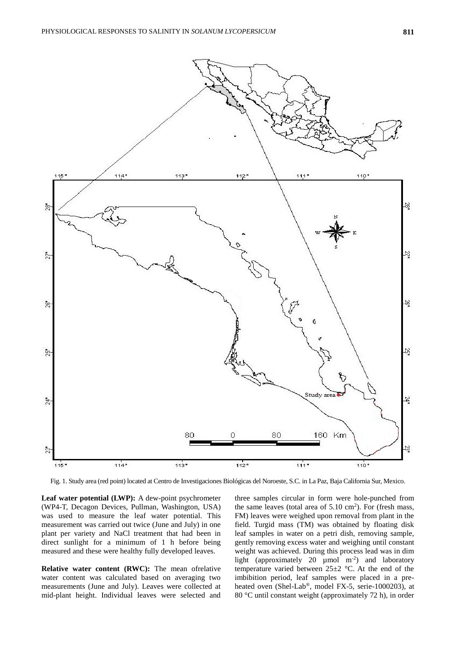

Fig. 1. Study area (red point) located at Centro de Investigaciones Biológicas del Noroeste, S.C. in La Paz, Baja California Sur, Mexico.

**Leaf water potential (LWP):** A dew-point psychrometer (WP4-T, Decagon Devices, Pullman, Washington, USA) was used to measure the leaf water potential. This measurement was carried out twice (June and July) in one plant per variety and NaCl treatment that had been in direct sunlight for a minimum of 1 h before being measured and these were healthy fully developed leaves.

**Relative water content (RWC):** The mean ofrelative water content was calculated based on averaging two measurements (June and July). Leaves were collected at mid-plant height. Individual leaves were selected and

three samples circular in form were hole-punched from the same leaves (total area of  $5.10 \text{ cm}^2$ ). For (fresh mass, FM) leaves were weighed upon removal from plant in the field. Turgid mass (TM) was obtained by floating disk leaf samples in water on a petri dish, removing sample, gently removing excess water and weighing until constant weight was achieved. During this process lead was in dim light (approximately 20  $\mu$ mol m<sup>-2</sup>) and laboratory temperature varied between  $25\pm2$  °C. At the end of the imbibition period, leaf samples were placed in a preheated oven (Shel-Lab®, model FX-5, serie-1000203), at 80 °C until constant weight (approximately 72 h), in order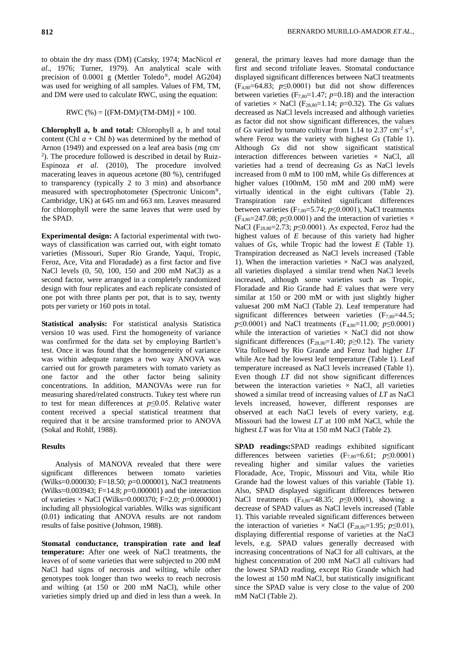to obtain the dry mass (DM) (Catsky, 1974; MacNicol *et al*., 1976; Turner, 1979). An analytical scale with precision of 0.0001 g (Mettler Toledo®, model AG204) was used for weighing of all samples. Values of FM, TM, and DM were used to calculate RWC, using the equation:

$$
RWC (\%) = [(FM-DM)/(TM-DM)] \times 100.
$$

**Chlorophyll a, b and total:** Chlorophyll a, b and total content (Chl  $a$  + Chl  $b$ ) was determined by the method of Arnon (1949) and expressed on a leaf area basis (mg cm-2 ). The procedure followed is described in detail by Ruiz-Espinoza *et al*. (2010), The procedure involved macerating leaves in aqueous acetone (80 %), centrifuged to transparency (typically 2 to 3 min) and absorbance measured with spectrophotometer (Spectronic Unicom®, Cambridge, UK) at 645 nm and 663 nm. Leaves measured for chlorophyll were the same leaves that were used by the SPAD.

**Experimental design:** A factorial experimental with twoways of classification was carried out, with eight tomato varieties (Missouri, Super Rio Grande, Yaqui, Tropic, Feroz, Ace, Vita and Floradade) as a first factor and five NaCl levels (0, 50, 100, 150 and 200 mM NaCl) as a second factor, were arranged in a completely randomized design with four replicates and each replicate consisted of one pot with three plants per pot, that is to say, twenty pots per variety or 160 pots in total.

**Statistical analysis:** For statistical analysis Statistica version 10 was used. First the homogeneity of variance was confirmed for the data set by employing Bartlett's test. Once it was found that the homogeneity of variance was within adequate ranges a two way ANOVA was carried out for growth parameters with tomato variety as one factor and the other factor being salinity concentrations. In addition, MANOVAs were run for measuring shared/related constructs. Tukey test where run to test for mean differences at *p*≤0.05. Relative water content received a special statistical treatment that required that it be arcsine transformed prior to ANOVA (Sokal and Rohlf, 1988).

## **Results**

Analysis of MANOVA revealed that there were significant differences between tomato varieties (Wilks=0.000030; F=18.50; *p*=0.000001), NaCl treatments (Wilks=0.003943; F=14.8; *p*=0.000001) and the interaction of varieties × NaCl (Wilks=0.000370; F=2.0; *p*=0.000001) including all physiological variables. Wilks was significant (0.01) indicating that ANOVA results are not random results of false positive (Johnson, 1988).

**Stomatal conductance, transpiration rate and leaf temperature:** After one week of NaCl treatments, the leaves of of some varieties that were subjected to 200 mM NaCl had signs of necrosis and wilting, while other genotypes took longer than two weeks to reach necrosis and wilting (at 150 or 200 mM NaCl), while other varieties simply dried up and died in less than a week. In

general, the primary leaves had more damage than the first and second trifoliate leaves. Stomatal conductance displayed significant differences between NaCl treatments  $(F_{4,80}=64.83; p \le 0.0001)$  but did not show differences between varieties  $(F_{7,80}=1.47; p=0.18)$  and the interaction of varieties  $\times$  NaCl (F<sub>28,80</sub>=1.14; *p*=0.32). The *Gs* values decreased as NaCl levels increased and although varieties as factor did not show significant differences, the values of *Gs* varied by tomato cultivar from 1.14 to  $2.37 \text{ cm}^2 \text{ s}^{-1}$ , where Feroz was the variety with highest *Gs* (Table 1). Although *Gs* did not show significant statistical interaction differences between varieties  $\times$  NaCl, all varieties had a trend of decreasing *Gs* as NaCl levels increased from 0 mM to 100 mM, while Gs differences at higher values (100mM, 150 mM and 200 mM) were virtually identical in the eight cultivars (Table 2). Transpiration rate exhibited significant differences between varieties  $(F_{7,80} = 5.74; p \le 0.0001)$ , NaCl treatments  $(F_{4,80}=247.08; p \le 0.0001)$  and the interaction of varieties  $\times$ NaCl (F28,80=2.73; *p*≤0.0001). As expected, Feroz had the highest values of *E* because of this variety had higher values of *Gs*, while Tropic had the lowest *E* (Table 1). Transpiration decreased as NaCl levels increased (Table 1). When the interaction varieties  $\times$  NaCl was analyzed, all varieties displayed a similar trend when NaCl levels increased, although some varieties such as Tropic, Floradade and Rio Grande had *E* values that were very similar at 150 or 200 mM or with just slightly higher valuesat 200 mM NaCl (Table 2). Leaf temperature had significant differences between varieties  $(F_{7,80}=44.5;$ *p*≤0.0001) and NaCl treatments (F<sub>4,80</sub>=11.00; *p*≤0.0001) while the interaction of varieties  $\times$  NaCl did not show significant differences ( $F_{28,80}=1.40$ ; *p*≥0.12). The variety Vita followed by Rio Grande and Feroz had higher *LT* while Ace had the lowest leaf temperature (Table 1). Leaf temperature increased as NaCl levels increased (Table 1). Even though *LT* did not show significant differences between the interaction varieties  $\times$  NaCl, all varieties showed a similar trend of increasing values of *LT* as NaCl levels increased, however, different responses are observed at each NaCl levels of every variety, e.g. Missouri had the lowest *LT* at 100 mM NaCl, while the highest *LT* was for Vita at 150 mM NaCl (Table 2).

**SPAD readings:**SPAD readings exhibited significant differences between varieties  $(F_{7,80}=6.61; p \le 0.0001)$ revealing higher and similar values the varieties Floradade, Ace, Tropic, Missouri and Vita, while Rio Grande had the lowest values of this variable (Table 1). Also, SPAD displayed significant differences between NaCl treatments (F4,80=48.35; *p*≤0.0001), showing a decrease of SPAD values as NaCl levels increased (Table 1). This variable revealed significant differences between the interaction of varieties × NaCl (F<sub>28,80</sub>=1.95;  $p \le 0.01$ ), displaying differential response of varieties at the NaCl levels, e.g. SPAD values generally decreased with increasing concentrations of NaCl for all cultivars, at the highest concentration of 200 mM NaCl all cultivars had the lowest SPAD reading, except Rio Grande which had the lowest at 150 mM NaCl, but statistically insignificant since the SPAD value is very close to the value of 200 mM NaCl (Table 2).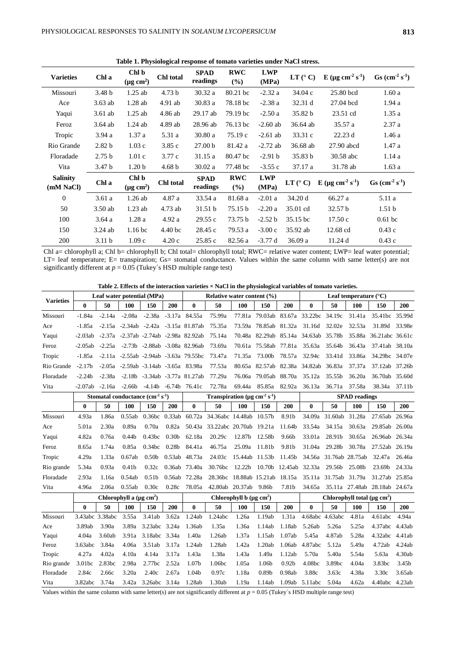| <b>Varieties</b>             | Chl a             | Chl b<br>$(\mu g \text{ cm}^2)$ | Chl total          | <b>SPAD</b><br>readings | <b>RWC</b><br>(%)    | <b>LWP</b><br>(MPa) | LT (° C)             | E ( $\mu$ g cm <sup>-2</sup> s <sup>-1</sup> ) | $\text{Gs }(\text{cm}^{-2} \text{ s}^{-1})$ |  |
|------------------------------|-------------------|---------------------------------|--------------------|-------------------------|----------------------|---------------------|----------------------|------------------------------------------------|---------------------------------------------|--|
| Missouri                     | 3.48 <sub>b</sub> | $1.25$ ab                       | 4.73 <sub>b</sub>  | 30.32 a                 | 80.21 bc             | $-2.32a$            | 34.04c               | 25.80 bcd                                      | 1.60a                                       |  |
| Ace                          | $3.63$ ab         | 1.28ab                          | $4.91$ ab          | 30.83a                  | 78.18 bc             | $-2.38a$            | 32.31 d              | 27.04 bcd                                      | 1.94a                                       |  |
| Yaqui                        | $3.61$ ab         | $1.25$ ab                       | 4.86 ab            | 29.17 ab                | 79.19 bc             | $-2.50a$            | 35.82 b              | 23.51 cd                                       | 1.35a                                       |  |
| Feroz                        | $3.64$ ab         | $1.24$ ab                       | 4.89 ab            | 28.96 ab                | 76.13 bc             | $-2.60$ ab          | 36.64 ab             | 35.57 a                                        | 2.37a                                       |  |
| Tropic                       | 3.94 a            | 1.37a                           | 5.31 a             | 30.80a                  | 75.19c               | $-2.61$ ab          | 33.31 c              | 22.23 d                                        | 1.46a                                       |  |
| Rio Grande                   | 2.82 <sub>b</sub> | 1.03c                           | 3.85c              | 27.00 <sub>b</sub>      | 81.42 a              | $-2.72$ ab          | 36.68 ab             | 27.90 abcd                                     | 1.47a                                       |  |
| Floradade                    | 2.75 <sub>b</sub> | 1.01c                           | 3.77c              | 31.15a                  | 80.47 bc             | $-2.91 b$           | 35.83 b<br>30.58 abc |                                                | 1.14a                                       |  |
| Vita                         | 3.47 <sub>b</sub> | 1.20 <sub>b</sub>               | 4.68 <sub>b</sub>  | 30.02 a                 | 77.48 bc             | $-3.55c$            | 37.17 a              | 31.78 ab                                       | 1.63a                                       |  |
| <b>Salinity</b><br>(mM NaCl) | Chl a             | Chl b<br>$(\mu g \text{ cm}^2)$ | Chl total          | <b>SPAD</b><br>readings | <b>RWC</b><br>$($ %) | <b>LWP</b><br>(MPa) | $LT$ ( $^{\circ}$ C) | E ( $\mu$ g cm <sup>-2</sup> s <sup>-1</sup> ) | $Gs (cm-2 s-1)$                             |  |
| $\mathbf{0}$                 | 3.61a             | $1.26$ ab                       | 4.87 a             | 33.54 a                 | 81.68 a              | $-2.01a$            | 34.20 d              | 66.27 a                                        | 5.11 a                                      |  |
| 50                           | $3.50$ ab         | $1.23$ ab                       | 4.73 ab            | 31.51 b                 | 75.15 b              | $-2.20a$            | 35.01 cd             | 32.57 <sub>b</sub>                             | 1.51 <sub>b</sub>                           |  |
| 100                          | 3.64a             | 1.28a                           | 4.92a              | 29.55c                  | 73.75 b              | $-2.52 b$           | 35.15 bc             | 17.50c                                         | $0.61$ bc                                   |  |
| 150                          | $3.24$ ab         | 1.16 <sub>bc</sub>              | 4.40 <sub>bc</sub> | 28.45 c                 | 79.53 a              | $-3.00c$            | 35.92 ab             | 12.68 cd                                       | 0.43c                                       |  |
| 200                          | 3.11 <sub>b</sub> | 1.09c                           | 4.20c              | 25.85c                  | 82.56 a              | $-3.77d$            | 36.09a               | 11.24d                                         | 0.43c                                       |  |

**Table 1. Physiological response of tomato varieties under NaCl stress.**

Chl a= chlorophyll a; Chl b= chlorophyll b; Chl total= chlorophyll total; RWC= relative water content; LWP= leaf water potential; LT= leaf temperature; E= transpiration; Gs= stomatal conductance. Values within the same column with same letter(s) are not significantly different at  $p = 0.05$  (Tukey's HSD multiple range test)

**Table 2. Effects of the interaction varieties × NaCl in the physiological variables of tomato varieties.**

| <b>Varieties</b>                                                                                  | Leaf water potential (MPa)           |          |                   |                                               |                   | Relative water content $(\% )$                             |                                                      |                      |                                               |                   | Leaf temperature $(^{\circ}C)$                             |                        |        |                                      |            |
|---------------------------------------------------------------------------------------------------|--------------------------------------|----------|-------------------|-----------------------------------------------|-------------------|------------------------------------------------------------|------------------------------------------------------|----------------------|-----------------------------------------------|-------------------|------------------------------------------------------------|------------------------|--------|--------------------------------------|------------|
|                                                                                                   | $\bf{0}$                             | 50       | <b>100</b>        | 150                                           | 200               | $\mathbf{0}$                                               | 50                                                   | 100                  | 150                                           | 200               | 0                                                          | 50                     | 100    | 150                                  | 200        |
| Missouri                                                                                          | -1.84a                               | $-2.14a$ | $-2.08a$          | $-2.38a$                                      |                   | $-3.17a$ 84.55a                                            | 75.99a                                               |                      |                                               |                   | 77.81a 79.03ab 83.67a 33.22bc 34.19c                       |                        | 31.41a | 35.41bc 35.99d                       |            |
| Ace                                                                                               | -1.85a                               |          |                   | $-2.15a -2.34ab -2.42a -3.15a 81.87ab$        |                   |                                                            | 75.35a                                               |                      | 73.59a 78.85ab 81.32a                         |                   | 31.16d                                                     | 32.02e                 | 32.53a | 31.89d                               | 33.98e     |
| Yaqui                                                                                             |                                      |          |                   | -2.03ab -2.37a -2.37ab -2.74ab -2.98a 82.92ab |                   |                                                            | 75.14a                                               |                      |                                               |                   | 70.48a 82.29ab 85.14a 34.63ab 35.78b                       |                        |        | 35.88a 36.21abc 36.61c               |            |
| Feroz                                                                                             | $-2.05ab$                            |          |                   | -2.25a -2.73b -2.88ab -3.08a 82.96ab          |                   |                                                            | 73.69a                                               |                      | 70.61a 75.58ab                                | 77.81a            | 35.63a                                                     | 35.64b                 | 36.43a | 37.41ab                              | 38.10a     |
| Tropic                                                                                            | -1.85a                               |          |                   | $-2.11a - 2.55ab - 2.94ab - 3.63a$ 79.55bc    |                   |                                                            | 73.47a                                               | 71.35a               | 73.00b                                        |                   | 78.57a 32.94c                                              | 33.41d                 | 33.86a | 34.29bc 34.07e                       |            |
| Rio Grande                                                                                        | $-2.17b$                             |          |                   | -2.05a -2.59ab -3.14ab -3.65a 83.98a          |                   |                                                            | 77.53a                                               |                      | 80.65a 82.57ab                                |                   | 82.38a 34.82ab 36.83a                                      |                        | 37.37a | 37.12ab 37.26b                       |            |
| Floradade                                                                                         | $-2.24b$                             | $-2.38a$ |                   | $-2.18b -3.34ab -3.77a 81.27ab$               |                   |                                                            | 77.29a                                               |                      | 76.06a 79.05ab 88.70a 35.12a                  |                   |                                                            | 35.55b                 | 36.20a | 36.70ab 35.60d                       |            |
| Vita                                                                                              | $-2.07ab$                            | $-2.16a$ | $-2.66b$          | $-4.14b -6.74b$ 76.41c                        |                   |                                                            | 72.78a                                               | 69.44a               | 85.85a                                        | 82.92a            | 36.13a                                                     | 36.71a                 | 37.58a | 38.34a 37.11b                        |            |
|                                                                                                   | Stomatal conductance $(cm-2 s-1)$    |          |                   |                                               |                   | Transpiration ( $\mu$ g cm <sup>-2</sup> s <sup>-1</sup> ) |                                                      | <b>SPAD</b> readings |                                               |                   |                                                            |                        |        |                                      |            |
|                                                                                                   | $\bf{0}$                             | 50       | <b>100</b>        | 150                                           | 200               | $\bf{0}$                                                   | 50                                                   | 100                  | 150                                           | 200               | $\bf{0}$                                                   | 50                     | 100    | 150                                  | <b>200</b> |
| Missouri                                                                                          | 4.93a                                | 1.86a    | 0.55ab            | 0.36bc 0.33ab                                 |                   |                                                            | 60.72a 34.36abc 14.48ab 10.57b                       |                      |                                               | 8.91b             |                                                            | 34.09a 31.60ab         | 31.28a | 27.65ab                              | 26.96a     |
| Ace                                                                                               | 5.01a                                | 2.30a    | 0.89a             | 0.70a                                         | 0.82a             |                                                            | 50.43a 33.22abc 20.70ab 19.21a                       |                      |                                               | 11.64b            | 33.54a                                                     | 34.15a                 | 30.63a | 29.85ab                              | 26.00a     |
| Yaqui                                                                                             | 4.82a                                | 0.76a    | 0.44 <sub>b</sub> | 0.43bc                                        | 0.30 <sub>b</sub> | 62.18a                                                     | 20.29c                                               | 12.87b               | 12.58b                                        | 9.66b             | 33.01a                                                     | 28.91b                 | 30.65a | 26.96ab                              | 26.34a     |
| Feroz                                                                                             | 8.65a                                | 1.74a    | 0.85a             | 0.34bc                                        | 0.28 <sub>b</sub> | 84.41a                                                     | 46.75a                                               | 25.09a               | 11.81b                                        | 9.81b             | 31.04a                                                     | 29.28b                 | 30.78a | 27.52ab                              | 26.19a     |
| Tropic                                                                                            | 4.29a                                | 1.33a    | 0.67ab            | 0.50 <sub>b</sub>                             | 0.53ab            | 48.73a                                                     | 24.03c                                               | 15.44ab 11.53b       |                                               | 11.45b            |                                                            | 34.56a 31.76ab 28.75ab |        | 32.47a                               | 26.46a     |
| Rio grande                                                                                        | 5.34a                                | 0.93a    | 0.41 <sub>b</sub> | 0.32c                                         | 0.36ab            | 73.40a                                                     | 30.76bc                                              | 12.22b               | 10.70b 12.45ab 32.33a                         |                   |                                                            | 29.56b                 | 25.08b | 23.69b                               | 24.33a     |
| Floradade                                                                                         | 2.93a                                | 1.16a    | 0.54ab            | 0.51 <sub>b</sub>                             | 0.56ab            | 72.28a                                                     | 28.36bc 18.88ab 15.21ab 18.15a 35.11a 31.75ab 31.79a |                      |                                               |                   |                                                            |                        |        | 31.27ab 25.85a                       |            |
| Vita                                                                                              | 4.96a                                | 2.06a    | 0.55ab            | 0.30c                                         | 0.28c             |                                                            | 78.05a 42.80ab 20.37ab                               |                      | 9.86b                                         | 7.81b             |                                                            |                        |        | 34.65a 35.11a 27.48ab 28.18ab 24.67a |            |
|                                                                                                   | Chlorophyll a $(\mu g \text{ cm}^2)$ |          |                   |                                               |                   |                                                            | Chlorophyll b $(\mu g \text{ cm}^2)$                 |                      | Chlorophyll total ( $\mu$ g cm <sup>2</sup> ) |                   |                                                            |                        |        |                                      |            |
|                                                                                                   | $\bf{0}$                             | 50       | <b>100</b>        | 150                                           | 200               | $\bf{0}$                                                   | 50                                                   | 100                  | 150                                           | 200               | $\bf{0}$                                                   | 50                     | 100    | 150                                  | 200        |
| Missouri                                                                                          | 3.43abc 3.38abc                      |          | 3.55a             | 3.41ab                                        | 3.62a             | 1.24ab                                                     | 1.24abc                                              | 1.26a                | 1.19ab                                        | 1.31a             | 4.68abc 4.63abc                                            |                        | 4.81a  | 4.61abc                              | 4.94a      |
| Ace                                                                                               | 3.89ab                               | 3.90a    | 3.89a             | 3.23abc                                       | 3.24a             | 1.36ab                                                     | 1.35a                                                | 1.36a                | 1.14ab                                        | 1.18ab            | 5.26ab                                                     | 5.26a                  | 5.25a  | 4.37abc                              | 4.43ab     |
| Yaqui                                                                                             | 4.04a                                | 3.60ab   | 3.91a             | 3.18abc                                       | 3.34a             | 1.40a                                                      | 1.26ab                                               | 1.37a                | 1.15ab                                        | 1.07ab            | 5.45a                                                      | 4.87ab                 | 5.28a  | 4.32abc                              | 4.41ab     |
| Feroz                                                                                             | 3.63abc                              | 3.84a    | 4.06a             | 3.51ab                                        | 3.17a             | 1.24ab                                                     | 1.28ab                                               | 1.42a                | 1.20ab                                        | 1.06ab            | 4.87abc                                                    | 5.12a                  | 5.49a  | 4.72ab                               | 4.24ab     |
| Tropic                                                                                            | 4.27a                                | 4.02a    | 4.10a             | 4.14a                                         | 3.17a             | 1.43a                                                      | 1.38a                                                | 1.43a                | 1.49a                                         | 1.12ab            | 5.70a                                                      | 5.40a                  | 5.54a  | 5.63a                                | 4.30ab     |
| Rio grande                                                                                        | 3.01bc                               | 2.83bc   | 2.98a             | 2.77bc                                        | 2.52a             | 1.07 <sub>b</sub>                                          | 1.06bc                                               | 1.05a                | 1.06b                                         | 0.92 <sub>b</sub> | 4.08bc                                                     | 3.89bc                 | 4.04a  | 3.83bc                               | 3.45b      |
| Floradade                                                                                         | 2.84c                                | 2.66c    | 3.20a             | 2.40c                                         | 2.67a             | 1.04b                                                      | 0.97c                                                | 1.18a                | 0.89b                                         | 0.98ab            | 3.88c                                                      | 3.63c                  | 4.38a  | 3.30c                                | 3.65ab     |
| Vita<br>Values within the came solumn with same letter(a) are not similized in different of $u =$ | 3.82abc                              | 3.74a    |                   | 3.42a 3.26abc 3.14a                           |                   | 1.28ab                                                     | 1.30ab                                               | 1.19a                | 1.14ab                                        |                   | 1.09ab 5.11abc<br>$0.05$ (Tylen's HCD multiple gapes toot) | 5.04a                  | 4.62a  | 4.40abc 4.23ab                       |            |

Values within the same column with same letter(s) are not significantly different at *p* = 0.05 (Tukey´s HSD multiple range test)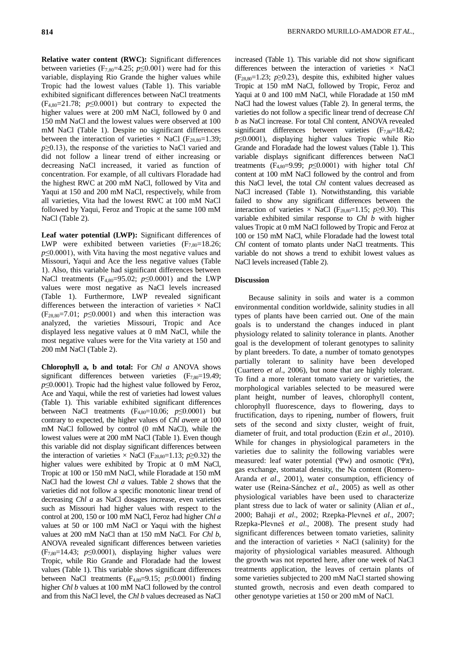**Relative water content (RWC):** Significant differences between varieties (F<sub>7,80</sub>=4.25;  $p \le 0.001$ ) were had for this variable, displaying Rio Grande the higher values while Tropic had the lowest values (Table 1). This variable exhibited significant differences between NaCl treatments  $(F_{4,80}=21.78; p \le 0.0001)$  but contrary to expected the higher values were at 200 mM NaCl, followed by 0 and 150 mM NaCl and the lowest values were observed at 100 mM NaCl (Table 1). Despite no significant differences between the interaction of varieties  $\times$  NaCl (F<sub>28,80</sub>=1.39; *p*≥0.13), the response of the varieties to NaCl varied and did not follow a linear trend of either increasing or decreasing NaCl increased, it varied as function of concentration. For example, of all cultivars Floradade had the highest RWC at 200 mM NaCl, followed by Vita and Yaqui at 150 and 200 mM NaCl, respectively, while from all varieties, Vita had the lowest RWC at 100 mM NaCl followed by Yaqui, Feroz and Tropic at the same 100 mM NaCl (Table 2).

**Leaf water potential (LWP):** Significant differences of LWP were exhibited between varieties  $(F_{7,80}=18.26;$ *p*≤0.0001), with Vita having the most negative values and Missouri, Yaqui and Ace the less negative values (Table 1). Also, this variable had significant differences between NaCl treatments (F4,80=95.02; *p*≤0.0001) and the LWP values were most negative as NaCl levels increased (Table 1). Furthermore, LWP revealed significant differences between the interaction of varieties  $\times$  NaCl  $(F_{28,80}=7.01; p \le 0.0001)$  and when this interaction was analyzed, the varieties Missouri, Tropic and Ace displayed less negative values at 0 mM NaCl, while the most negative values were for the Vita variety at 150 and 200 mM NaCl (Table 2).

**Chlorophyll a, b and total:** For *Chl a* ANOVA shows significant differences between varieties  $(F_{7,80}=19.49;$ *p*≤0.0001). Tropic had the highest value followed by Feroz, Ace and Yaqui, while the rest of varieties had lowest values (Table 1). This variable exhibited significant differences between NaCl treatments (F4,80=10.06; *p*≤0.0001) but contrary to expected, the higher values of *Chl a*were at 100 mM NaCl followed by control (0 mM NaCl), while the lowest values were at 200 mM NaCl (Table 1). Even though this variable did not display significant differences between the interaction of varieties × NaCl ( $F_{28,80}=1.13$ ;  $p\geq 0.32$ ) the higher values were exhibited by Tropic at 0 mM NaCl, Tropic at 100 or 150 mM NaCl, while Floradade at 150 mM NaCl had the lowest *Chl a* values. Table 2 shows that the varieties did not follow a specific monotonic linear trend of decreasing *Chl a* as NaCl dosages increase, even varieties such as Missouri had higher values with respect to the control at 200, 150 or 100 mM NaCl, Feroz had higher *Chl a* values at 50 or 100 mM NaCl or Yaqui with the highest values at 200 mM NaCl than at 150 mM NaCl. For *Chl b*, ANOVA revealed significant differences between varieties  $(F_{7,80}=14.43; p \le 0.0001)$ , displaying higher values were Tropic, while Rio Grande and Floradade had the lowest values (Table 1). This variable shows significant differences between NaCl treatments (F4,80=9.15; *p*≤0.0001) finding higher *Chl b* values at 100 mM NaCl followed by the control and from this NaCl level, the *Chl b* values decreased as NaCl

increased (Table 1). This variable did not show significant differences between the interaction of varieties  $\times$  NaCl  $(F_{28,80}=1.23; p\geq 0.23)$ , despite this, exhibited higher values Tropic at 150 mM NaCl, followed by Tropic, Feroz and Yaqui at 0 and 100 mM NaCl, while Floradade at 150 mM NaCl had the lowest values (Table 2). In general terms, the varieties do not follow a specific linear trend of decrease *Chl b* as NaCl increase. For total Chl content, ANOVA revealed significant differences between varieties  $(F_{7,80}=18.42;$ *p*≤0.0001), displaying higher values Tropic while Rio Grande and Floradade had the lowest values (Table 1). This variable displays significant differences between NaCl treatments  $(F_{4,80}=9.99; p \le 0.0001)$  with higher total *Chl* content at 100 mM NaCl followed by the control and from this NaCl level, the total *Chl* content values decreased as NaCl increased (Table 1). Notwithstanding, this variable failed to show any significant differences between the interaction of varieties  $\times$  NaCl (F<sub>28,80</sub>=1.15; *p*≥0.30). This variable exhibited similar response to *Chl b* with higher values Tropic at 0 mM NaCl followed by Tropic and Feroz at 100 or 150 mM NaCl, while Floradade had the lowest total *Chl* content of tomato plants under NaCl treatments. This variable do not shows a trend to exhibit lowest values as NaCl levels increased (Table 2).

## **Discussion**

Because salinity in soils and water is a common environmental condition worldwide, salinity studies in all types of plants have been carried out. One of the main goals is to understand the changes induced in plant physiology related to salinity tolerance in plants. Another goal is the development of tolerant genotypes to salinity by plant breeders. To date, a number of tomato genotypes partially tolerant to salinity have been developed (Cuartero *et al*., 2006), but none that are highly tolerant. To find a more tolerant tomato variety or varieties, the morphological variables selected to be measured were plant height, number of leaves, chlorophyll content, chlorophyll fluorescence, days to flowering, days to fructification, days to ripening, number of flowers, fruit sets of the second and sixty cluster, weight of fruit, diameter of fruit, and total production (Ezin *et al*., 2010). While for changes in physiological parameters in the varieties due to salinity the following variables were measured: leaf water potential (Ψw) and osmotic (Ψπ), gas exchange, stomatal density, the Na content (Romero-Aranda *et al*., 2001), water consumption, efficiency of water use (Reina-Sánchez *et al*., 2005) as well as other physiological variables have been used to characterize plant stress due to lack of water or salinity (Alian *et al*., 2000; Bahaji *et al*., 2002; Rzepka-Plevneš *et al*., 2007; Rzepka-Plevneš *et al*., 2008). The present study had significant differences between tomato varieties, salinity and the interaction of varieties  $\times$  NaCl (salinity) for the majority of physiological variables measured. Although the growth was not reported here, after one week of NaCl treatments application, the leaves of certain plants of some varieties subjected to 200 mM NaCl started showing stunted growth, necrosis and even death compared to other genotype varieties at 150 or 200 mM of NaCl.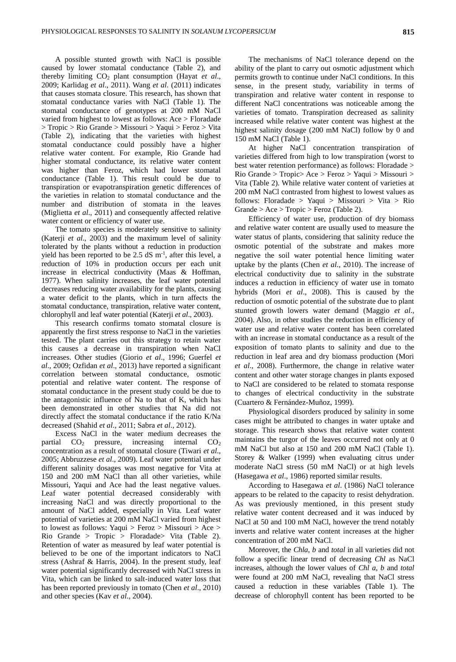A possible stunted growth with NaCl is possible caused by lower stomatal conductance (Table 2), and thereby limiting CO<sup>2</sup> plant consumption (Hayat *et al*., 2009; Karlidag *et al*., 2011). Wang *et al*. (2011) indicates that causes stomata closure. This research, has shown that stomatal conductance varies with NaCl (Table 1). The stomatal conductance of genotypes at 200 mM NaCl varied from highest to lowest as follows: Ace > Floradade > Tropic > Rio Grande > Missouri > Yaqui > Feroz > Vita (Table 2), indicating that the varieties with highest stomatal conductance could possibly have a higher relative water content. For example, Rio Grande had higher stomatal conductance, its relative water content was higher than Feroz, which had lower stomatal conductance (Table 1). This result could be due to transpiration or evapotranspiration genetic differences of the varieties in relation to stomatal conductance and the number and distribution of stomata in the leaves (Miglietta *et al*., 2011) and consequently affected relative water content or efficiency of water use.

The tomato species is moderately sensitive to salinity (Katerji *et al*., 2003) and the maximum level of salinity tolerated by the plants without a reduction in production yield has been reported to be  $2.5 \text{ dS m}^{-1}$ , after this level, a reduction of 10% in production occurs per each unit increase in electrical conductivity (Maas & Hoffman, 1977). When salinity increases, the leaf water potential decreases reducing water availability for the plants, causing a water deficit to the plants, which in turn affects the stomatal conductance, transpiration, relative water content, chlorophyll and leaf water potential (Katerji *et al*., 2003).

This research confirms tomato stomatal closure is apparently the first stress response to NaCl in the varieties tested. The plant carries out this strategy to retain water this causes a decrease in transpiration when NaCl increases. Other studies (Giorio *et al*., 1996; Guerfel *et al*., 2009; Ozfidan *et al*., 2013) have reported a significant correlation between stomatal conductance, osmotic potential and relative water content. The response of stomatal conductance in the present study could be due to the antagonistic influence of Na to that of K, which has been demonstrated in other studies that Na did not directly affect the stomatal conductance if the ratio K/Na decreased (Shahid *et al*., 2011; Sabra *et al*., 2012).

Excess NaCl in the water medium decreases the partial  $CO<sub>2</sub>$  pressure, increasing internal  $CO<sub>2</sub>$ concentration as a result of stomatal closure (Tiwari *et al*., 2005; Abbruzzese *et al*., 2009). Leaf water potential under different salinity dosages was most negative for Vita at 150 and 200 mM NaCl than all other varieties, while Missouri, Yaqui and Ace had the least negative values. Leaf water potential decreased considerably with increasing NaCl and was directly proportional to the amount of NaCl added, especially in Vita. Leaf water potential of varieties at 200 mM NaCl varied from highest to lowest as follows: Yaqui > Feroz > Missouri > Ace > Rio Grande > Tropic > Floradade> Vita (Table 2). Retention of water as measured by leaf water potential is believed to be one of the important indicators to NaCl stress (Ashraf & Harris, 2004). In the present study, leaf water potential significantly decreased with NaCl stress in Vita, which can be linked to salt-induced water loss that has been reported previously in tomato (Chen *et al*., 2010) and other species (Kav *et al*., 2004).

The mechanisms of NaCl tolerance depend on the ability of the plant to carry out osmotic adjustment which permits growth to continue under NaCl conditions. In this sense, in the present study, variability in terms of transpiration and relative water content in response to different NaCl concentrations was noticeable among the varieties of tomato. Transpiration decreased as salinity increased while relative water content was highest at the highest salinity dosage (200 mM NaCl) follow by 0 and 150 mM NaCl (Table 1).

At higher NaCl concentration transpiration of varieties differed from high to low transpiration (worst to best water retention performance) as follows: Floradade > Rio Grande > Tropic> Ace > Feroz > Yaqui > Missouri > Vita (Table 2). While relative water content of varieties at 200 mM NaCl contrasted from highest to lowest values as follows: Floradade > Yaqui > Missouri > Vita > Rio  $Grande > Ace > Tropic > Feroz$  (Table 2).

Efficiency of water use, production of dry biomass and relative water content are usually used to measure the water status of plants, considering that salinity reduce the osmotic potential of the substrate and makes more negative the soil water potential hence limiting water uptake by the plants (Chen *et al*., 2010). The increase of electrical conductivity due to salinity in the substrate induces a reduction in efficiency of water use in tomato hybrids (Mori *et al*., 2008). This is caused by the reduction of osmotic potential of the substrate due to plant stunted growth lowers water demand (Maggio *et al*., 2004). Also, in other studies the reduction in efficiency of water use and relative water content has been correlated with an increase in stomatal conductance as a result of the exposition of tomato plants to salinity and due to the reduction in leaf area and dry biomass production (Mori *et al*., 2008). Furthermore, the change in relative water content and other water storage changes in plants exposed to NaCl are considered to be related to stomata response to changes of electrical conductivity in the substrate (Cuartero & Fernández-Muñoz, 1999).

Physiological disorders produced by salinity in some cases might be attributed to changes in water uptake and storage. This research shows that relative water content maintains the turgor of the leaves occurred not only at 0 mM NaCl but also at 150 and 200 mM NaCl (Table 1). Storey & Walker (1999) when evaluating citrus under moderate NaCl stress (50 mM NaCl) or at high levels (Hasegawa *et al*., 1986) reported similar results.

According to Hasegawa *et al*. (1986) NaCl tolerance appears to be related to the capacity to resist dehydration. As was previously mentioned, in this present study relative water content decreased and it was induced by NaCl at 50 and 100 mM NaCl, however the trend notably inverts and relative water content increases at the higher concentration of 200 mM NaCl.

Moreover, the *Chla*, *b* and *total* in all varieties did not follow a specific linear trend of decreasing *Chl* as NaCl increases, although the lower values of *Chl a*, *b* and *total* were found at 200 mM NaCl, revealing that NaCl stress caused a reduction in these variables (Table 1). The decrease of chlorophyll content has been reported to be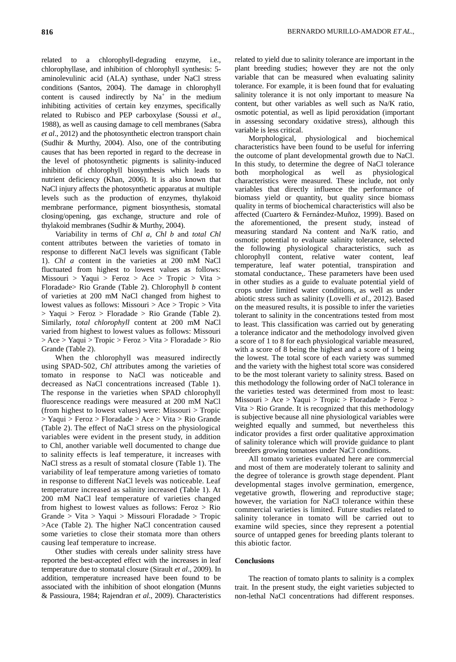related to a chlorophyll-degrading enzyme, i.e., chlorophyllase, and inhibition of chlorophyll synthesis: 5 aminolevulinic acid (ALA) synthase, under NaCl stress conditions (Santos, 2004). The damage in chlorophyll content is caused indirectly by  $Na<sup>+</sup>$  in the medium inhibiting activities of certain key enzymes, specifically related to Rubisco and PEP carboxylase (Soussi *et al*., 1988), as well as causing damage to cell membranes (Sabra *et al*., 2012) and the photosynthetic electron transport chain (Sudhir & Murthy, 2004). Also, one of the contributing causes that has been reported in regard to the decrease in the level of photosynthetic pigments is salinity-induced inhibition of chlorophyll biosynthesis which leads to nutrient deficiency (Khan, 2006). It is also known that NaCl injury affects the photosynthetic apparatus at multiple levels such as the production of enzymes, thylakoid membrane performance, pigment biosynthesis, stomatal closing/opening, gas exchange, structure and role of thylakoid membranes (Sudhir & Murthy, 2004).

Variability in terms of *Chl a, Chl b* and *total Chl*  content attributes between the varieties of tomato in response to different NaCl levels was significant (Table 1). *Chl a* content in the varieties at 200 mM NaCl fluctuated from highest to lowest values as follows: Missouri > Yaqui > Feroz > Ace > Tropic > Vita > Floradade> Rio Grande (Table 2). Chlorophyll *b* content of varieties at 200 mM NaCl changed from highest to lowest values as follows: Missouri > Ace > Tropic > Vita > Yaqui > Feroz > Floradade > Rio Grande (Table 2). Similarly, *total chlorophyll* content at 200 mM NaCl varied from highest to lowest values as follows: Missouri > Ace > Yaqui > Tropic > Feroz > Vita > Floradade > Rio Grande (Table 2).

When the chlorophyll was measured indirectly using SPAD-502, *Chl* attributes among the varieties of tomato in response to NaCl was noticeable and decreased as NaCl concentrations increased (Table 1). The response in the varieties when SPAD chlorophyll fluorescence readings were measured at 200 mM NaCl (from highest to lowest values) were: Missouri > Tropic > Yaqui > Feroz > Floradade > Ace > Vita > Rio Grande (Table 2). The effect of NaCl stress on the physiological variables were evident in the present study, in addition to Chl, another variable well documented to change due to salinity effects is leaf temperature, it increases with NaCl stress as a result of stomatal closure (Table 1). The variability of leaf temperature among varieties of tomato in response to different NaCl levels was noticeable. Leaf temperature increased as salinity increased (Table 1). At 200 mM NaCl leaf temperature of varieties changed from highest to lowest values as follows: Feroz > Rio Grande > Vita > Yaqui > Missouri Floradade > Tropic >Ace (Table 2). The higher NaCl concentration caused some varieties to close their stomata more than others causing leaf temperature to increase.

Other studies with cereals under salinity stress have reported the best-accepted effect with the increases in leaf temperature due to stomatal closure (Sirault *et al*., 2009). In addition, temperature increased have been found to be associated with the inhibition of shoot elongation (Munns & Passioura, 1984; Rajendran *et al*., 2009). Characteristics related to yield due to salinity tolerance are important in the plant breeding studies; however they are not the only variable that can be measured when evaluating salinity tolerance. For example, it is been found that for evaluating salinity tolerance it is not only important to measure Na content, but other variables as well such as Na/K ratio, osmotic potential, as well as lipid peroxidation (important in assessing secondary oxidative stress), although this variable is less critical.

Morphological, physiological and biochemical characteristics have been found to be useful for inferring the outcome of plant developmental growth due to NaCl. In this study, to determine the degree of NaCl tolerance both morphological as well as physiological characteristics were measured. These include, not only variables that directly influence the performance of biomass yield or quantity, but quality since biomass quality in terms of biochemical characteristics will also be affected (Cuartero & Fernández-Muñoz, 1999). Based on the aforementioned, the present study, instead of measuring standard Na content and Na/K ratio, and osmotic potential to evaluate salinity tolerance, selected the following physiological characteristics, such as chlorophyll content, relative water content, leaf temperature, leaf water potential, transpiration and stomatal conductance,. These parameters have been used in other studies as a guide to evaluate potential yield of crops under limited water conditions, as well as under abiotic stress such as salinity (Lovelli *et al*., 2012). Based on the measured results, it is possible to infer the varieties tolerant to salinity in the concentrations tested from most to least. This classification was carried out by generating a tolerance indicator and the methodology involved given a score of 1 to 8 for each physiological variable measured, with a score of 8 being the highest and a score of 1 being the lowest. The total score of each variety was summed and the variety with the highest total score was considered to be the most tolerant variety to salinity stress. Based on this methodology the following order of NaCl tolerance in the varieties tested was determined from most to least: Missouri > Ace > Yaqui > Tropic > Floradade > Feroz > Vita  $>$  Rio Grande. It is recognized that this methodology is subjective because all nine physiological variables were weighted equally and summed, but nevertheless this indicator provides a first order qualitative approximation of salinity tolerance which will provide guidance to plant breeders growing tomatoes under NaCl conditions.

All tomato varieties evaluated here are commercial and most of them are moderately tolerant to salinity and the degree of tolerance is growth stage dependent. Plant developmental stages involve germination, emergence, vegetative growth, flowering and reproductive stage; however, the variation for NaCl tolerance within these commercial varieties is limited. Future studies related to salinity tolerance in tomato will be carried out to examine wild species, since they represent a potential source of untapped genes for breeding plants tolerant to this abiotic factor.

### **Conclusions**

The reaction of tomato plants to salinity is a complex trait. In the present study, the eight varieties subjected to non-lethal NaCl concentrations had different responses.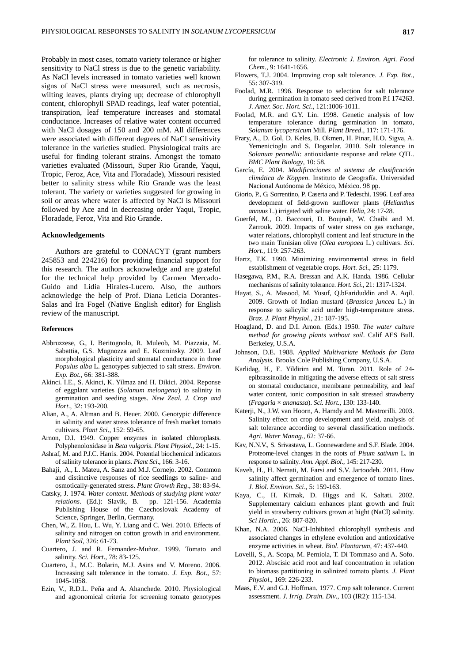Probably in most cases, tomato variety tolerance or higher sensitivity to NaCl stress is due to the genetic variability. As NaCl levels increased in tomato varieties well known signs of NaCl stress were measured, such as necrosis, wilting leaves, plants drying up; decrease of chlorophyll content, chlorophyll SPAD readings, leaf water potential, transpiration, leaf temperature increases and stomatal conductance. Increases of relative water content occurred with NaCl dosages of 150 and 200 mM. All differences were associated with different degrees of NaCl sensitivity tolerance in the varieties studied. Physiological traits are useful for finding tolerant strains. Amongst the tomato varieties evaluated (Missouri, Super Rio Grande, Yaqui, Tropic, Feroz, Ace, Vita and Floradade), Missouri resisted better to salinity stress while Rio Grande was the least tolerant. The variety or varieties suggested for growing in soil or areas where water is affected by NaCl is Missouri followed by Ace and in decreasing order Yaqui, Tropic, Floradade, Feroz, Vita and Rio Grande.

### **Acknowledgements**

Authors are grateful to CONACYT (grant numbers 245853 and 224216) for providing financial support for this research. The authors acknowledge and are grateful for the technical help provided by Carmen Mercado-Guido and Lidia Hirales-Lucero. Also, the authors acknowledge the help of Prof. Diana Leticia Dorantes-Salas and Ira Fogel (Native English editor) for English review of the manuscript.

### **References**

- Abbruzzese, G., I. Beritognolo, R. Muleob, M. Piazzaia, M. Sabattia, G.S. Mugnozza and E. Kuzminsky. 2009. Leaf morphological plasticity and stomatal conductance in three *Populus alba* L. genotypes subjected to salt stress. *Environ. Exp. Bot.,* 66: 381-388.
- Akinci. I.E., S. Akinci, K. Yilmaz and H. Dikici. 2004. Reponse of eggplant varieties (*Solanum melongena*) to salinity in germination and seeding stages. *New Zeal. J. Crop and Hort*., 32: 193-200.
- Alian, A., A. Altman and B. Heuer. 2000. Genotypic difference in salinity and water stress tolerance of fresh market tomato cultivars. *Plant Sci*., 152: 59-65.
- Arnon, D.I. 1949. Copper enzymes in isolated chloroplasts. Polyphenoloxidase in *Beta vulgaris*. *Plant Physiol*., 24: 1-15.
- Ashraf, M. and P.J.C. Harris. 2004. Potential biochemical indicators of salinity tolerance in plants. *Plant Sci*., 166: 3-16.
- Bahaji, A., L. Mateu, A. Sanz and M.J. Cornejo. 2002. Common and distinctive responses of rice seedlings to saline- and osmotically-generated stress. *Plant Growth Reg*., 38: 83-94.
- Catsky, J. 1974. *Water content. Methods of studying plant water relations*. (Ed.): Slavik, B. pp. 121-156. Academia Publishing House of the Czechoslovak Academy of Science, Springer, Berlin, Germany.
- Chen, W., Z. Hou, L. Wu, Y. Liang and C. Wei. 2010. Effects of salinity and nitrogen on cotton growth in arid environment. *Plant Soil*, 326: 61-73.
- Cuartero, J. and R. Fernandez-Muñoz. 1999. Tomato and salinity. *Sci. Hort*., 78: 83-125.
- Cuartero, J., M.C. Bolarin, M.J. Asins and V. Moreno. 2006. Increasing salt tolerance in the tomato. *J. Exp. Bot*., 57: 1045-1058.
- Ezin, V., R.D.L. Peña and A. Ahanchede. 2010. Physiological and agronomical criteria for screening tomato genotypes

for tolerance to salinity. *Electronic J. Environ. Agri. Food Chem.*, 9: 1641-1656.

- Flowers, T.J. 2004. Improving crop salt tolerance. *J. Exp. Bot*., 55: 307-319.
- Foolad, M.R. 1996. Response to selection for salt tolerance during germination in tomato seed derived from P.I 174263. *J. Amer. Soc. Hort. Sci*., 121:1006-1011.
- Foolad, M.R. and G.Y. Lin. 1998. Genetic analysis of low temperature tolerance during germination in tomato, *Solanum lycopersicum* Mill. *Plant Breed*., 117: 171-176.
- Frary, A., D. Gol, D. Keles, B. Okmen, H. Pinar, H.O. Sigva, A. Yemenicioglu and S. Doganlar. 2010. Salt tolerance in *Solanum pennellii*: antioxidante response and relate QTL. *BMC Plant Biology*, 10: 58.
- García, E. 2004. *Modificaciones al sistema de clasificación climática de Köppen*. Instituto de Geografía. Universidad Nacional Autónoma de México, México. 98 pp.
- Giorio, P., G. Sorrentino, P. Caserta and P. Tedeschi. 1996. Leaf area development of field-grown sunflower plants (*Helianthus annuus* L.) irrigated with saline water. *Helia*, 24: 17-28.
- Guerfel, M., O. Baccouri, D. Boujnah, W. Chaibi and M. Zarrouk. 2009. Impacts of water stress on gas exchange, water relations, chlorophyll content and leaf structure in the two main Tunisian olive (*Olea europaea* L.) cultivars. *Sci. Hort.*, 119: 257-263.
- Hartz, T.K. 1990. Minimizing environmental stress in field establishment of vegetable crops. *Hort. Sci.*, 25: 1179.
- Hasegawa, P.M., R.A. Bressan and A.K. Handa. 1986. Cellular mechanisms of salinity tolerance. *Hort. Sci*., 21: 1317-1324.
- Hayat, S., A. Masood, M. Yusuf, Q.bFariduddin and A. Aqil. 2009. Growth of Indian mustard (*Brassica juncea* L.) in response to salicylic acid under high-temperature stress. *Braz. J. Plant Physiol*., 21: 187-195.
- Hoagland, D. and D.I. Arnon. (Eds.) 1950. *The water culture method for growing plants without soil*. Calif AES Bull. Berkeley, U.S.A.
- Johnson, D.E. 1988. *Applied Multivariate Methods for Data Analysis*. Brooks Cole Publishing Company, U.S.A.
- Karlidag, H., E. Yildirim and M. Turan. 2011. Role of 24 epibrassinolide in mitigating the adverse effects of salt stress on stomatal conductance, membrane permeability, and leaf water content, ionic composition in salt stressed strawberry (*Fragaria* × *ananassa*). *Sci. Hort*., 130: 133-140.
- Katerji, N., J.W. van Hoorn, A. Hamdy and M. Mastrorilli. 2003. Salinity effect on crop development and yield, analysis of salt tolerance according to several classification methods. *Agri. Water Manag.*, 62: 37-66.
- Kav, N.N.V., S. Srivastava, L. Goonewardene and S.F. Blade. 2004. Proteome-level changes in the roots of *Pisum sativum* L. in response to salinity. *Ann. Appl. Biol*., 145: 217-230.
- Kaveh, H., H. Nemati, M. Farsi and S.V. Jartoodeh. 2011. How salinity affect germination and emergence of tomato lines. *J. Biol. Environ. Sci*., 5: 159-163.
- Kaya, C., H. Kirnak, D. Higgs and K. Saltati. 2002. Supplementary calcium enhances plant growth and fruit yield in strawberry cultivars grown at hight (NaCl) salinity. *Sci Hortic*., 26: 807-820.
- Khan, N.A. 2006. NaCl-Inhibited chlorophyll synthesis and associated changes in ethylene evolution and antioxidative enzyme activities in wheat*. Biol. Plantarum*, 47: 437-440.
- Lovelli, S., A. Scopa, M. Perniola, T. Di Tommaso and A. Sofo. 2012. Abscisic acid root and leaf concentration in relation to biomass partitioning in salinized tomato plants. *J. Plant Physiol*., 169: 226-233.
- Maas, E.V. and G.J. Hoffman. 1977. Crop salt tolerance. Current assessment. *J. Irrig. Drain. Div*., 103 (IR2): 115-134.